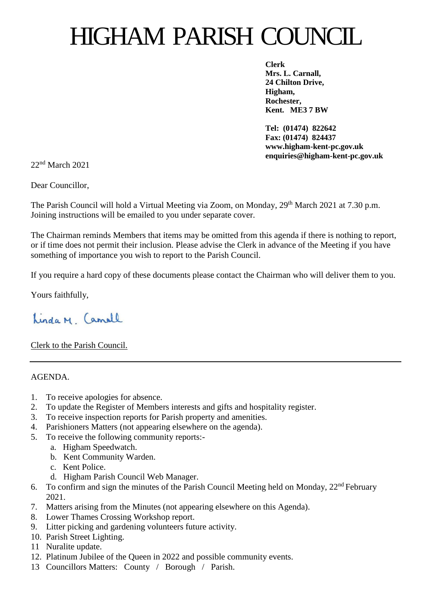## HIGHAM PARISH COUNCIL

**Clerk Mrs. L. Carnall, 24 Chilton Drive, Higham, Rochester, Kent. ME3 7 BW**

**Tel: (01474) 822642 Fax: (01474) 824437 www.higham-kent-pc.gov.uk enquiries@higham-kent-pc.gov.uk**

22nd March 2021

Dear Councillor,

The Parish Council will hold a Virtual Meeting via Zoom, on Monday, 29<sup>th</sup> March 2021 at 7.30 p.m. Joining instructions will be emailed to you under separate cover.

The Chairman reminds Members that items may be omitted from this agenda if there is nothing to report, or if time does not permit their inclusion. Please advise the Clerk in advance of the Meeting if you have something of importance you wish to report to the Parish Council.

If you require a hard copy of these documents please contact the Chairman who will deliver them to you.

Yours faithfully,

Linda M. Camell

Clerk to the Parish Council.

AGENDA.

- 1. To receive apologies for absence.
- 2. To update the Register of Members interests and gifts and hospitality register.
- 3. To receive inspection reports for Parish property and amenities.
- 4. Parishioners Matters (not appearing elsewhere on the agenda).
- 5. To receive the following community reports:
	- a. Higham Speedwatch.
	- b. Kent Community Warden.
	- c. Kent Police.
	- d. Higham Parish Council Web Manager.
- 6. To confirm and sign the minutes of the Parish Council Meeting held on Monday,  $22<sup>nd</sup>$  February 2021.
- 7. Matters arising from the Minutes (not appearing elsewhere on this Agenda).
- 8. Lower Thames Crossing Workshop report.
- 9. Litter picking and gardening volunteers future activity.
- 10. Parish Street Lighting.
- 11 Nuralite update.
- 12. Platinum Jubilee of the Queen in 2022 and possible community events.
- 13 Councillors Matters: County / Borough / Parish.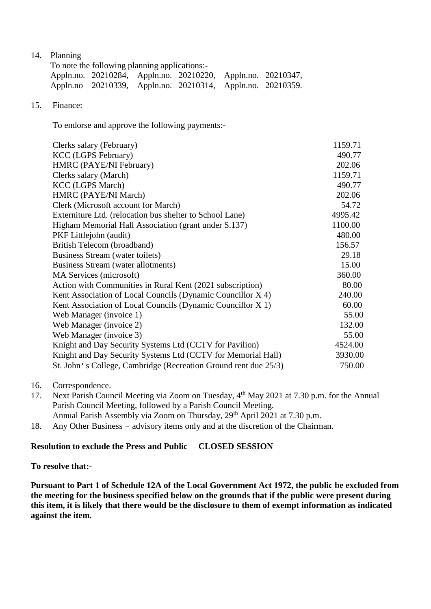14. Planning

| To note the following planning applications:- |                                                             |  |  |  |  |  |
|-----------------------------------------------|-------------------------------------------------------------|--|--|--|--|--|
|                                               | Appln.no. 20210284, Appln.no. 20210220, Appln.no. 20210347, |  |  |  |  |  |
|                                               | Appln.no 20210339, Appln.no. 20210314, Appln.no. 20210359.  |  |  |  |  |  |

15. Finance:

To endorse and approve the following payments:-

| Clerks salary (February)                                        | 1159.71 |
|-----------------------------------------------------------------|---------|
| <b>KCC</b> (LGPS February)                                      | 490.77  |
| HMRC (PAYE/NI February)                                         | 202.06  |
| Clerks salary (March)                                           | 1159.71 |
| <b>KCC</b> (LGPS March)                                         | 490.77  |
| HMRC (PAYE/NI March)                                            | 202.06  |
| Clerk (Microsoft account for March)                             | 54.72   |
| Externiture Ltd. (relocation bus shelter to School Lane)        | 4995.42 |
| Higham Memorial Hall Association (grant under S.137)            | 1100.00 |
| PKF Littlejohn (audit)                                          | 480.00  |
| British Telecom (broadband)                                     | 156.57  |
| Business Stream (water toilets)                                 | 29.18   |
| Business Stream (water allotments)                              | 15.00   |
| MA Services (microsoft)                                         | 360.00  |
| Action with Communities in Rural Kent (2021 subscription)       | 80.00   |
| Kent Association of Local Councils (Dynamic Councillor X 4)     | 240.00  |
| Kent Association of Local Councils (Dynamic Councillor X 1)     | 60.00   |
| Web Manager (invoice 1)                                         | 55.00   |
| Web Manager (invoice 2)                                         | 132.00  |
| Web Manager (invoice 3)                                         | 55.00   |
| Knight and Day Security Systems Ltd (CCTV for Pavilion)         | 4524.00 |
| Knight and Day Security Systems Ltd (CCTV for Memorial Hall)    | 3930.00 |
| St. John's College, Cambridge (Recreation Ground rent due 25/3) | 750.00  |
|                                                                 |         |

- 16. Correspondence.
- 17. Next Parish Council Meeting via Zoom on Tuesday, 4<sup>th</sup> May 2021 at 7.30 p.m. for the Annual Parish Council Meeting, followed by a Parish Council Meeting. Annual Parish Assembly via Zoom on Thursday, 29<sup>th</sup> April 2021 at 7.30 p.m.
- 18. Any Other Business advisory items only and at the discretion of the Chairman.

## **Resolution to exclude the Press and Public CLOSED SESSION**

**To resolve that:-**

**Pursuant to Part 1 of Schedule 12A of the Local Government Act 1972, the public be excluded from the meeting for the business specified below on the grounds that if the public were present during this item, it is likely that there would be the disclosure to them of exempt information as indicated against the item.**